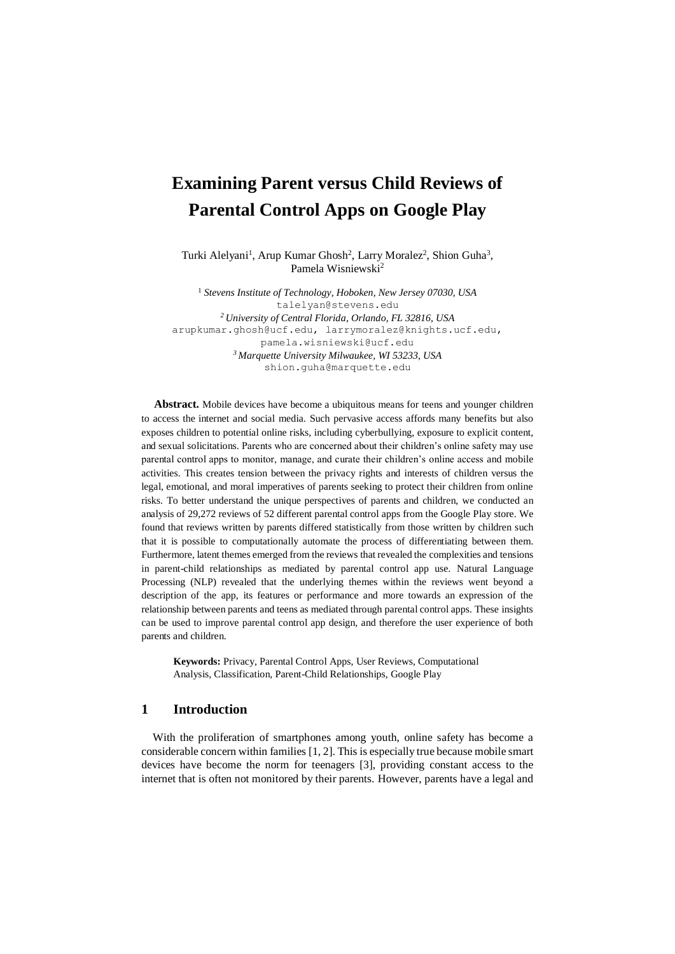# **Examining Parent versus Child Reviews of Parental Control Apps on Google Play**

Turki Alelyani<sup>1</sup>, Arup Kumar Ghosh<sup>2</sup>, Larry Moralez<sup>2</sup>, Shion Guha<sup>3</sup>, Pamela Wisniewski<sup>2</sup>

<sup>1</sup> *Stevens Institute of Technology, Hoboken, New Jersey 07030, USA* talelyan@stevens.edu *<sup>2</sup>University of Central Florida, Orlando, FL 32816, USA* [arupkumar.ghosh@ucf.edu,](mailto:arupkumar.ghosh@ucf.edu) [larrymoralez@knights.ucf.edu,](mailto:larrymoralez@knights.ucf.edu) pamela.wisniewski@ucf.edu *<sup>3</sup>Marquette University Milwaukee, WI 53233, USA*  shion.guha@marquette.edu

**Abstract.** Mobile devices have become a ubiquitous means for teens and younger children to access the internet and social media. Such pervasive access affords many benefits but also exposes children to potential online risks, including cyberbullying, exposure to explicit content, and sexual solicitations. Parents who are concerned about their children's online safety may use parental control apps to monitor, manage, and curate their children's online access and mobile activities. This creates tension between the privacy rights and interests of children versus the legal, emotional, and moral imperatives of parents seeking to protect their children from online risks. To better understand the unique perspectives of parents and children, we conducted an analysis of 29,272 reviews of 52 different parental control apps from the Google Play store. We found that reviews written by parents differed statistically from those written by children such that it is possible to computationally automate the process of differentiating between them. Furthermore, latent themes emerged from the reviews that revealed the complexities and tensions in parent-child relationships as mediated by parental control app use. Natural Language Processing (NLP) revealed that the underlying themes within the reviews went beyond a description of the app, its features or performance and more towards an expression of the relationship between parents and teens as mediated through parental control apps. These insights can be used to improve parental control app design, and therefore the user experience of both parents and children.

**Keywords:** Privacy, Parental Control Apps, User Reviews, Computational Analysis, Classification, Parent-Child Relationships, Google Play

## **1 Introduction**

With the proliferation of smartphones among youth, online safety has become a considerable concern within families [1, 2]. This is especially true because mobile smart devices have become the norm for teenagers [3], providing constant access to the internet that is often not monitored by their parents. However, parents have a legal and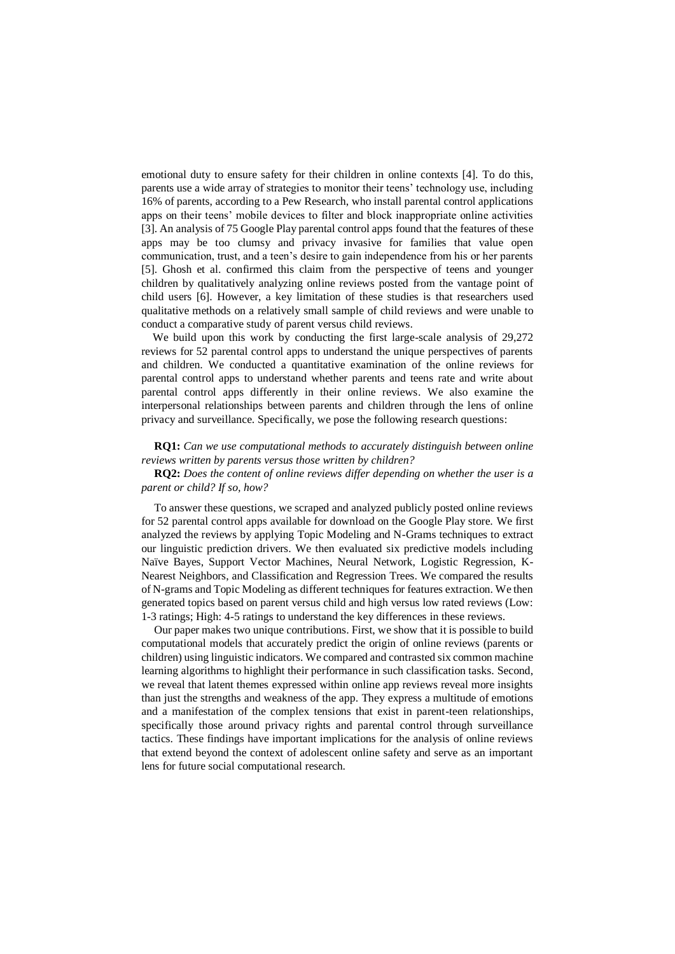emotional duty to ensure safety for their children in online contexts [4]. To do this, parents use a wide array of strategies to monitor their teens' technology use, including 16% of parents, according to a Pew Research, who install parental control applications apps on their teens' mobile devices to filter and block inappropriate online activities [3]. An analysis of 75 Google Play parental control apps found that the features of these apps may be too clumsy and privacy invasive for families that value open communication, trust, and a teen's desire to gain independence from his or her parents [5]. Ghosh et al. confirmed this claim from the perspective of teens and younger children by qualitatively analyzing online reviews posted from the vantage point of child users [6]. However, a key limitation of these studies is that researchers used qualitative methods on a relatively small sample of child reviews and were unable to conduct a comparative study of parent versus child reviews.

We build upon this work by conducting the first large-scale analysis of 29,272 reviews for 52 parental control apps to understand the unique perspectives of parents and children. We conducted a quantitative examination of the online reviews for parental control apps to understand whether parents and teens rate and write about parental control apps differently in their online reviews. We also examine the interpersonal relationships between parents and children through the lens of online privacy and surveillance. Specifically, we pose the following research questions:

#### **RQ1:** *Can we use computational methods to accurately distinguish between online reviews written by parents versus those written by children?*

#### **RQ2:** *Does the content of online reviews differ depending on whether the user is a parent or child? If so, how?*

To answer these questions, we scraped and analyzed publicly posted online reviews for 52 parental control apps available for download on the Google Play store. We first analyzed the reviews by applying Topic Modeling and N-Grams techniques to extract our linguistic prediction drivers. We then evaluated six predictive models including Naïve Bayes, Support Vector Machines, Neural Network, Logistic Regression, K-Nearest Neighbors, and Classification and Regression Trees. We compared the results of N-grams and Topic Modeling as different techniques for features extraction. We then generated topics based on parent versus child and high versus low rated reviews (Low: 1-3 ratings; High: 4-5 ratings to understand the key differences in these reviews.

Our paper makes two unique contributions. First, we show that it is possible to build computational models that accurately predict the origin of online reviews (parents or children) using linguistic indicators. We compared and contrasted six common machine learning algorithms to highlight their performance in such classification tasks. Second, we reveal that latent themes expressed within online app reviews reveal more insights than just the strengths and weakness of the app. They express a multitude of emotions and a manifestation of the complex tensions that exist in parent-teen relationships, specifically those around privacy rights and parental control through surveillance tactics. These findings have important implications for the analysis of online reviews that extend beyond the context of adolescent online safety and serve as an important lens for future social computational research.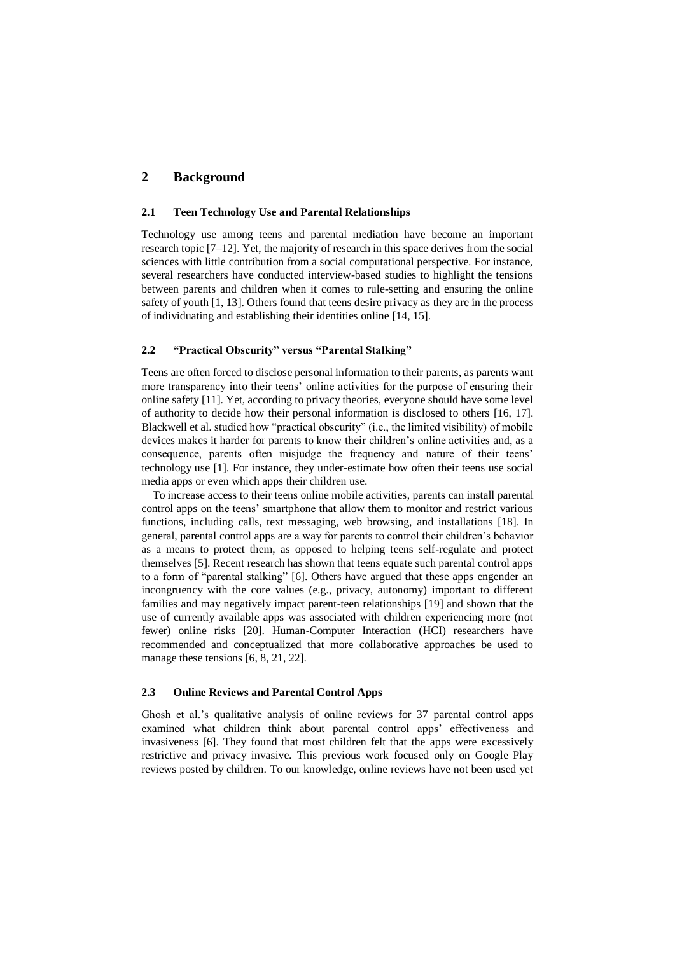# **2 Background**

#### **2.1 Teen Technology Use and Parental Relationships**

Technology use among teens and parental mediation have become an important research topic [7–12]. Yet, the majority of research in this space derives from the social sciences with little contribution from a social computational perspective. For instance, several researchers have conducted interview-based studies to highlight the tensions between parents and children when it comes to rule-setting and ensuring the online safety of youth [1, 13]. Others found that teens desire privacy as they are in the process of individuating and establishing their identities online [14, 15].

#### **2.2 "Practical Obscurity" versus "Parental Stalking"**

Teens are often forced to disclose personal information to their parents, as parents want more transparency into their teens' online activities for the purpose of ensuring their online safety [11]. Yet, according to privacy theories, everyone should have some level of authority to decide how their personal information is disclosed to others [16, 17]. Blackwell et al. studied how "practical obscurity" (i.e., the limited visibility) of mobile devices makes it harder for parents to know their children's online activities and, as a consequence, parents often misjudge the frequency and nature of their teens' technology use [1]. For instance, they under-estimate how often their teens use social media apps or even which apps their children use.

To increase access to their teens online mobile activities, parents can install parental control apps on the teens' smartphone that allow them to monitor and restrict various functions, including calls, text messaging, web browsing, and installations [18]. In general, parental control apps are a way for parents to control their children's behavior as a means to protect them, as opposed to helping teens self-regulate and protect themselves [5]. Recent research has shown that teens equate such parental control apps to a form of "parental stalking" [6]. Others have argued that these apps engender an incongruency with the core values (e.g., privacy, autonomy) important to different families and may negatively impact parent-teen relationships [19] and shown that the use of currently available apps was associated with children experiencing more (not fewer) online risks [20]. Human-Computer Interaction (HCI) researchers have recommended and conceptualized that more collaborative approaches be used to manage these tensions [6, 8, 21, 22].

#### **2.3 Online Reviews and Parental Control Apps**

Ghosh et al.'s qualitative analysis of online reviews for 37 parental control apps examined what children think about parental control apps' effectiveness and invasiveness [6]. They found that most children felt that the apps were excessively restrictive and privacy invasive. This previous work focused only on Google Play reviews posted by children. To our knowledge, online reviews have not been used yet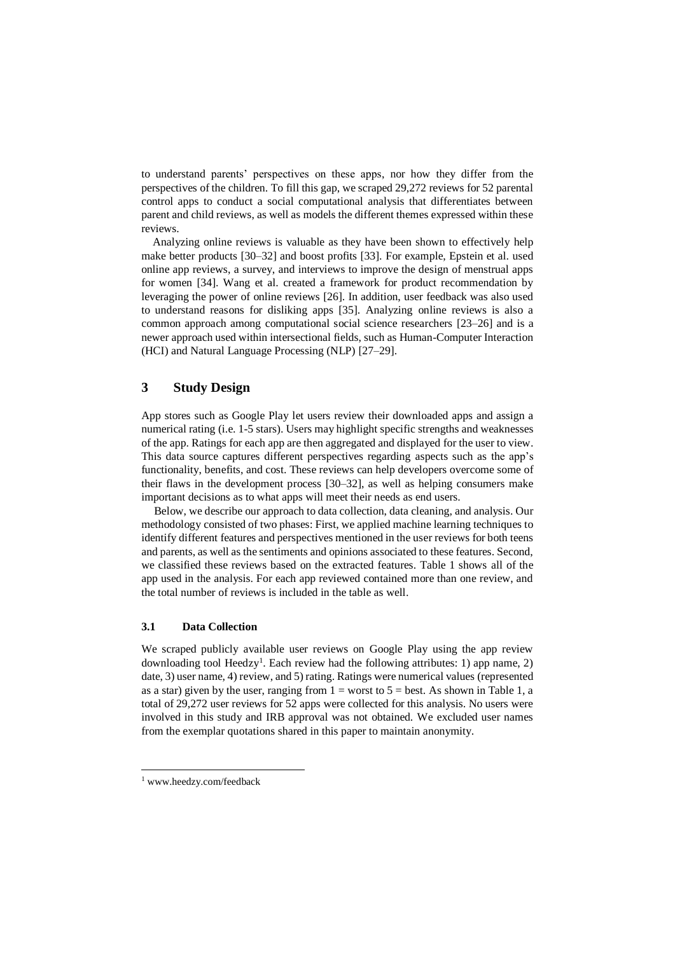to understand parents' perspectives on these apps, nor how they differ from the perspectives of the children. To fill this gap, we scraped 29,272 reviews for 52 parental control apps to conduct a social computational analysis that differentiates between parent and child reviews, as well as models the different themes expressed within these reviews.

Analyzing online reviews is valuable as they have been shown to effectively help make better products [30–32] and boost profits [33]. For example, Epstein et al. used online app reviews, a survey, and interviews to improve the design of menstrual apps for women [34]. Wang et al. created a framework for product recommendation by leveraging the power of online reviews [26]. In addition, user feedback was also used to understand reasons for disliking apps [35]. Analyzing online reviews is also a common approach among computational social science researchers [23–26] and is a newer approach used within intersectional fields, such as Human-Computer Interaction (HCI) and Natural Language Processing (NLP) [27–29].

# **3 Study Design**

App stores such as Google Play let users review their downloaded apps and assign a numerical rating (i.e. 1-5 stars). Users may highlight specific strengths and weaknesses of the app. Ratings for each app are then aggregated and displayed for the user to view. This data source captures different perspectives regarding aspects such as the app's functionality, benefits, and cost. These reviews can help developers overcome some of their flaws in the development process [30–32], as well as helping consumers make important decisions as to what apps will meet their needs as end users.

Below, we describe our approach to data collection, data cleaning, and analysis. Our methodology consisted of two phases: First, we applied machine learning techniques to identify different features and perspectives mentioned in the user reviews for both teens and parents, as well as the sentiments and opinions associated to these features. Second, we classified these reviews based on the extracted features. Table 1 shows all of the app used in the analysis. For each app reviewed contained more than one review, and the total number of reviews is included in the table as well.

## **3.1 Data Collection**

We scraped publicly available user reviews on Google Play using the app review downloading tool Heedzy<sup>1</sup>. Each review had the following attributes: 1) app name, 2) date, 3) user name, 4) review, and 5) rating. Ratings were numerical values (represented as a star) given by the user, ranging from  $1 =$  worst to  $5 =$  best. As shown in Table 1, a total of 29,272 user reviews for 52 apps were collected for this analysis. No users were involved in this study and IRB approval was not obtained. We excluded user names from the exemplar quotations shared in this paper to maintain anonymity.

 $\overline{a}$ 

<sup>1</sup> www.heedzy.com/feedback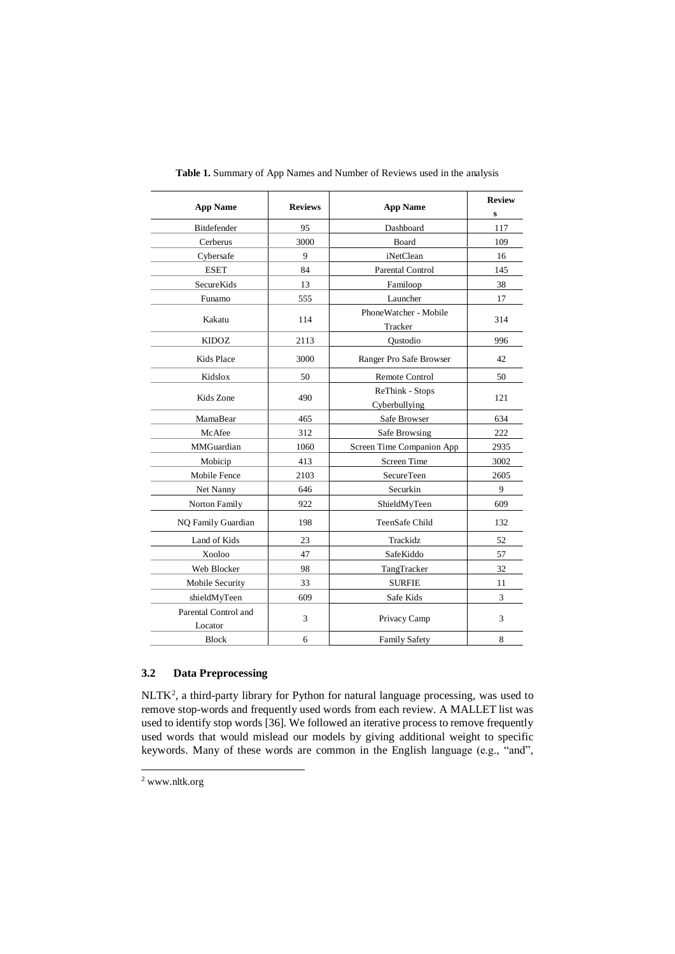| <b>App Name</b>                 | <b>Reviews</b> | <b>App Name</b>                  | <b>Review</b><br>S |
|---------------------------------|----------------|----------------------------------|--------------------|
| Bitdefender                     | 95             | Dashboard                        | 117                |
| Cerberus                        | 3000           | Board                            | 109                |
| Cybersafe                       | 9              | <i>iNetClean</i>                 | 16                 |
| <b>ESET</b>                     | 84             | Parental Control                 | 145                |
| SecureKids                      | 13             | Familoop                         | 38                 |
| Funamo                          | 555            | Launcher                         | 17                 |
| Kakatu                          | 114            | PhoneWatcher - Mobile<br>Tracker | 314                |
| KIDOZ.                          | 2113           | Oustodio                         | 996                |
| Kids Place                      | 3000           | Ranger Pro Safe Browser          | 42                 |
| Kidslox                         | 50             | Remote Control                   | 50                 |
| Kids Zone                       | 490            | ReThink - Stops<br>Cyberbullying | 121                |
| MamaBear                        | 465            | Safe Browser                     | 634                |
| McAfee                          | 312            | Safe Browsing                    | 222                |
| MMGuardian                      | 1060           | Screen Time Companion App        | 2935               |
| Mobicip                         | 413            | Screen Time                      | 3002               |
| Mobile Fence                    | 2103           | SecureTeen                       | 2605               |
| Net Nanny                       | 646            | Securkin                         | 9                  |
| Norton Family                   | 922            | ShieldMyTeen                     | 609                |
| NQ Family Guardian              | 198            | TeenSafe Child                   | 132                |
| Land of Kids                    | 23             | Trackidz                         | 52                 |
| Xooloo                          | 47             | SafeKiddo                        | 57                 |
| Web Blocker                     | 98             | TangTracker                      | 32                 |
| Mobile Security                 | 33             | <b>SURFIE</b>                    | 11                 |
| shieldMyTeen                    | 609            | Safe Kids                        | 3                  |
| Parental Control and<br>Locator | 3              | Privacy Camp                     | 3                  |
| <b>Block</b>                    | 6              | <b>Family Safety</b>             | 8                  |

**Table 1.** Summary of App Names and Number of Reviews used in the analysis

# **3.2 Data Preprocessing**

NLTK<sup>2</sup>, a third-party library for Python for natural language processing, was used to remove stop-words and frequently used words from each review. A MALLET list was used to identify stop words [36]. We followed an iterative process to remove frequently used words that would mislead our models by giving additional weight to specific keywords. Many of these words are common in the English language (e.g., "and",

 $\overline{a}$ 

<sup>2</sup> www.nltk.org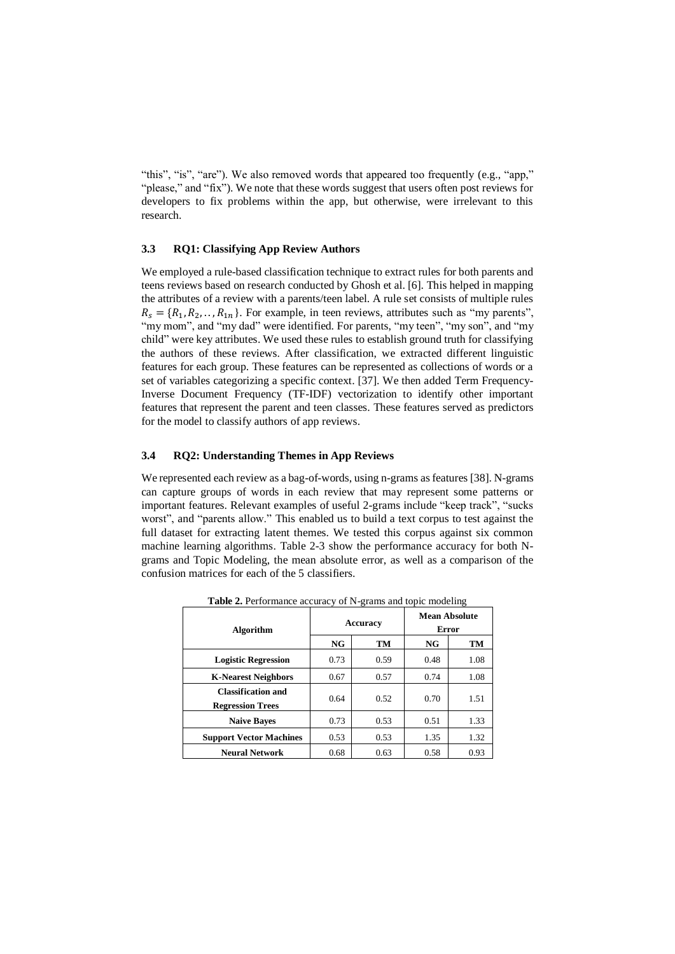"this", "is", "are"). We also removed words that appeared too frequently (e.g., "app," "please," and "fix"). We note that these words suggest that users often post reviews for developers to fix problems within the app, but otherwise, were irrelevant to this research.

# **3.3 RQ1: Classifying App Review Authors**

We employed a rule-based classification technique to extract rules for both parents and teens reviews based on research conducted by Ghosh et al. [6]. This helped in mapping the attributes of a review with a parents/teen label. A rule set consists of multiple rules  $R_s = \{R_1, R_2, \ldots, R_{1n}\}.$  For example, in teen reviews, attributes such as "my parents", "my mom", and "my dad" were identified. For parents, "my teen", "my son", and "my child" were key attributes. We used these rules to establish ground truth for classifying the authors of these reviews. After classification, we extracted different linguistic features for each group. These features can be represented as collections of words or a set of variables categorizing a specific context. [37]. We then added Term Frequency-Inverse Document Frequency (TF-IDF) vectorization to identify other important features that represent the parent and teen classes. These features served as predictors for the model to classify authors of app reviews.

## **3.4 RQ2: Understanding Themes in App Reviews**

We represented each review as a bag-of-words, using n-grams as features [38]. N-grams can capture groups of words in each review that may represent some patterns or important features. Relevant examples of useful 2-grams include "keep track", "sucks worst", and "parents allow." This enabled us to build a text corpus to test against the full dataset for extracting latent themes. We tested this corpus against six common machine learning algorithms. Table 2-3 show the performance accuracy for both Ngrams and Topic Modeling, the mean absolute error, as well as a comparison of the confusion matrices for each of the 5 classifiers.

| <b>Algorithm</b>                                     |           | <b>Accuracy</b> | <b>Mean Absolute</b><br><b>Error</b> |      |
|------------------------------------------------------|-----------|-----------------|--------------------------------------|------|
|                                                      | <b>NG</b> | TМ              | NG.                                  | TМ   |
| <b>Logistic Regression</b>                           | 0.73      | 0.59            | 0.48                                 | 1.08 |
| <b>K-Nearest Neighbors</b>                           | 0.67      | 0.57            | 0.74                                 | 1.08 |
| <b>Classification and</b><br><b>Regression Trees</b> | 0.64      | 0.52            | 0.70                                 | 1.51 |
| <b>Naive Baves</b>                                   | 0.73      | 0.53            | 0.51                                 | 1.33 |
| <b>Support Vector Machines</b>                       | 0.53      | 0.53            | 1.35                                 | 1.32 |
| <b>Neural Network</b>                                | 0.68      | 0.63            | 0.58                                 | 0.93 |

**Table 2.** Performance accuracy of N-grams and topic modeling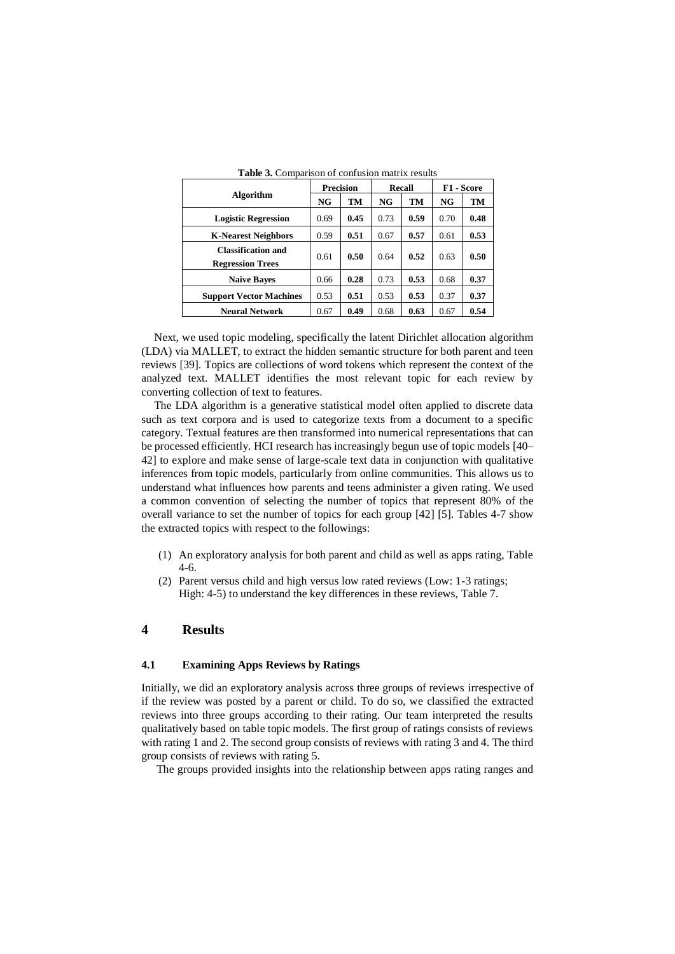|                                                      | <b>Precision</b> |      | <b>Recall</b> |      | F1 - Score |      |
|------------------------------------------------------|------------------|------|---------------|------|------------|------|
| Algorithm                                            | NG               | TM   | NG            | TМ   | NG         | TM   |
| <b>Logistic Regression</b>                           | 0.69             | 0.45 | 0.73          | 0.59 | 0.70       | 0.48 |
| <b>K-Nearest Neighbors</b>                           | 0.59             | 0.51 | 0.67          | 0.57 | 0.61       | 0.53 |
| <b>Classification and</b><br><b>Regression Trees</b> | 0.61             | 0.50 | 0.64          | 0.52 | 0.63       | 0.50 |
| <b>Naive Baves</b>                                   | 0.66             | 0.28 | 0.73          | 0.53 | 0.68       | 0.37 |
| <b>Support Vector Machines</b>                       | 0.53             | 0.51 | 0.53          | 0.53 | 0.37       | 0.37 |
| <b>Neural Network</b>                                | 0.67             | 0.49 | 0.68          | 0.63 | 0.67       | 0.54 |

**Table 3.** Comparison of confusion matrix results

Next, we used topic modeling, specifically the latent Dirichlet allocation algorithm (LDA) via MALLET, to extract the hidden semantic structure for both parent and teen reviews [39]. Topics are collections of word tokens which represent the context of the analyzed text. MALLET identifies the most relevant topic for each review by converting collection of text to features.

The LDA algorithm is a generative statistical model often applied to discrete data such as text corpora and is used to categorize texts from a document to a specific category. Textual features are then transformed into numerical representations that can be processed efficiently. HCI research has increasingly begun use of topic models [40– 42] to explore and make sense of large-scale text data in conjunction with qualitative inferences from topic models, particularly from online communities. This allows us to understand what influences how parents and teens administer a given rating. We used a common convention of selecting the number of topics that represent 80% of the overall variance to set the number of topics for each group [42] [5]. Tables 4-7 show the extracted topics with respect to the followings:

- (1) An exploratory analysis for both parent and child as well as apps rating, Table 4-6.
- (2) Parent versus child and high versus low rated reviews (Low: 1-3 ratings; High: 4-5) to understand the key differences in these reviews, Table 7.

## **4 Results**

#### **4.1 Examining Apps Reviews by Ratings**

Initially, we did an exploratory analysis across three groups of reviews irrespective of if the review was posted by a parent or child. To do so, we classified the extracted reviews into three groups according to their rating. Our team interpreted the results qualitatively based on table topic models. The first group of ratings consists of reviews with rating 1 and 2. The second group consists of reviews with rating 3 and 4. The third group consists of reviews with rating 5.

The groups provided insights into the relationship between apps rating ranges and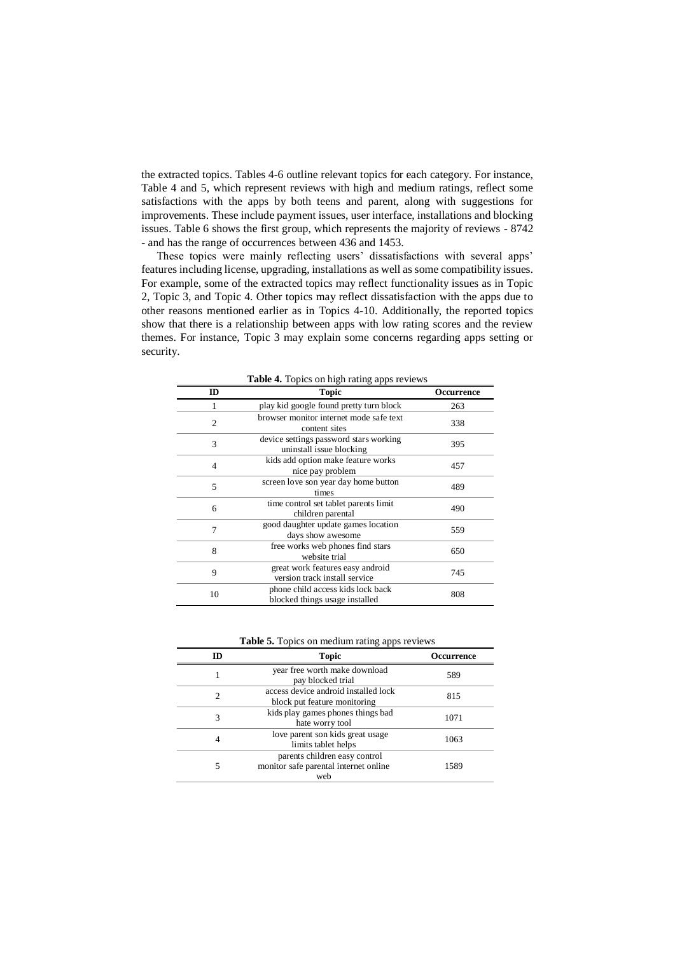the extracted topics. Tables 4-6 outline relevant topics for each category. For instance, Table 4 and 5, which represent reviews with high and medium ratings, reflect some satisfactions with the apps by both teens and parent, along with suggestions for improvements. These include payment issues, user interface, installations and blocking issues. Table 6 shows the first group, which represents the majority of reviews - 8742 - and has the range of occurrences between 436 and 1453.

These topics were mainly reflecting users' dissatisfactions with several apps' features including license, upgrading, installations as well as some compatibility issues. For example, some of the extracted topics may reflect functionality issues as in Topic 2, Topic 3, and Topic 4. Other topics may reflect dissatisfaction with the apps due to other reasons mentioned earlier as in Topics 4-10. Additionally, the reported topics show that there is a relationship between apps with low rating scores and the review themes. For instance, Topic 3 may explain some concerns regarding apps setting or security.

| ID | Topic                                                               | <b>Occurrence</b> |
|----|---------------------------------------------------------------------|-------------------|
| 1  | play kid google found pretty turn block                             | 263               |
| 2  | browser monitor internet mode safe text<br>content sites            | 338               |
| 3  | device settings password stars working<br>uninstall issue blocking  | 395               |
| 4  | kids add option make feature works<br>nice pay problem              | 457               |
| 5  | screen love son year day home button<br>times                       | 489               |
| 6  | time control set tablet parents limit<br>children parental          | 490               |
| 7  | good daughter update games location<br>days show awesome            | 559               |
| 8  | free works web phones find stars<br>website trial                   | 650               |
| 9  | great work features easy android<br>version track install service   | 745               |
| 10 | phone child access kids lock back<br>blocked things usage installed | 808               |

**Table 4.** Topics on high rating apps reviews

**Table 5.** Topics on medium rating apps reviews

| m | <b>Topic</b>                                                                  | Occurrence |
|---|-------------------------------------------------------------------------------|------------|
|   | year free worth make download<br>pay blocked trial                            | 589        |
|   | access device android installed lock<br>block put feature monitoring          | 815        |
| 3 | kids play games phones things bad<br>hate worry tool                          | 1071       |
|   | love parent son kids great usage<br>limits tablet helps                       | 1063       |
|   | parents children easy control<br>monitor safe parental internet online<br>web | 1589       |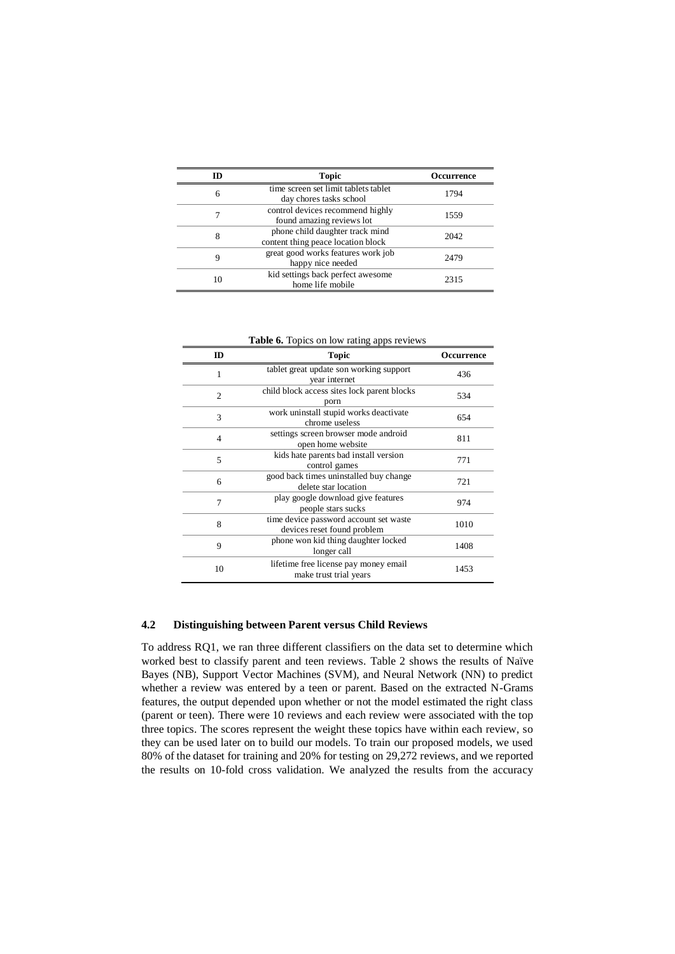| m | <b>Topic</b>                                                          | <b>Occurrence</b> |
|---|-----------------------------------------------------------------------|-------------------|
| 6 | time screen set limit tablets tablet<br>day chores tasks school       | 1794              |
|   | control devices recommend highly<br>found amazing reviews lot         | 1559              |
| 8 | phone child daughter track mind<br>content thing peace location block | 2042              |
| 9 | great good works features work job<br>happy nice needed               | 2479              |
|   | kid settings back perfect awesome<br>home life mobile                 | 2315              |

**ID Topic Occurrence** 1 tablet great update son working support year internet <sup>436</sup> 2 child block access sites lock parent blocks porn 534 3 work uninstall stupid works deactivate nstain stupid works deach value 654 4 settings screen browser mode android s screen browser mode android<br>open home website 811 5 kids hate parents bad install version e parents bad install version<br>
control games 6 good back times uninstalled buy change delete star location 721 7 play google download give features people stars sucks 974 time device password account set waste

phone won kid thing daughter locked

10 lifetime free license pay money email

devices reset found problem 1010<br>devices reset found problem

longer call and the same call the same call and the same call and  $1408$ 

e free license pay money email<br>make trust trial years 1453

**Table 6.** Topics on low rating apps reviews

## **4.2 Distinguishing between Parent versus Child Reviews**

8

9

To address RQ1, we ran three different classifiers on the data set to determine which worked best to classify parent and teen reviews. Table 2 shows the results of Naïve Bayes (NB), Support Vector Machines (SVM), and Neural Network (NN) to predict whether a review was entered by a teen or parent. Based on the extracted N-Grams features, the output depended upon whether or not the model estimated the right class (parent or teen). There were 10 reviews and each review were associated with the top three topics. The scores represent the weight these topics have within each review, so they can be used later on to build our models. To train our proposed models, we used 80% of the dataset for training and 20% for testing on 29,272 reviews, and we reported the results on 10-fold cross validation. We analyzed the results from the accuracy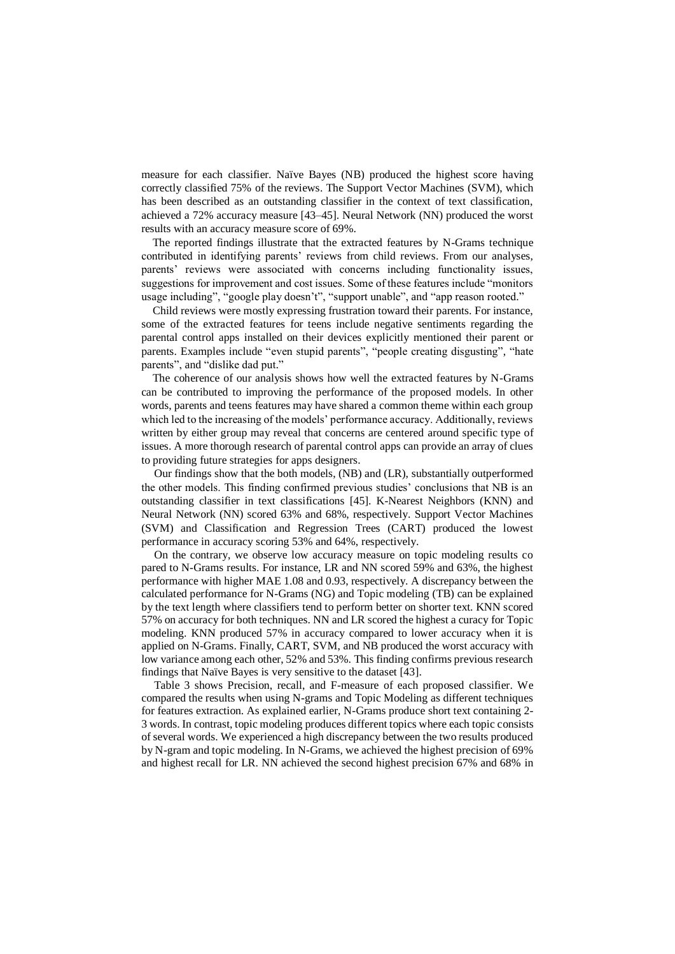measure for each classifier. Naïve Bayes (NB) produced the highest score having correctly classified 75% of the reviews. The Support Vector Machines (SVM), which has been described as an outstanding classifier in the context of text classification, achieved a 72% accuracy measure [43–45]. Neural Network (NN) produced the worst results with an accuracy measure score of 69%.

The reported findings illustrate that the extracted features by N-Grams technique contributed in identifying parents' reviews from child reviews. From our analyses, parents' reviews were associated with concerns including functionality issues, suggestions for improvement and cost issues. Some of these features include "monitors usage including", "google play doesn't", "support unable", and "app reason rooted."

Child reviews were mostly expressing frustration toward their parents. For instance, some of the extracted features for teens include negative sentiments regarding the parental control apps installed on their devices explicitly mentioned their parent or parents. Examples include "even stupid parents", "people creating disgusting", "hate parents", and "dislike dad put."

The coherence of our analysis shows how well the extracted features by N-Grams can be contributed to improving the performance of the proposed models. In other words, parents and teens features may have shared a common theme within each group which led to the increasing of the models' performance accuracy. Additionally, reviews written by either group may reveal that concerns are centered around specific type of issues. A more thorough research of parental control apps can provide an array of clues to providing future strategies for apps designers.

Our findings show that the both models, (NB) and (LR), substantially outperformed the other models. This finding confirmed previous studies' conclusions that NB is an outstanding classifier in text classifications [45]. K-Nearest Neighbors (KNN) and Neural Network (NN) scored 63% and 68%, respectively. Support Vector Machines (SVM) and Classification and Regression Trees (CART) produced the lowest performance in accuracy scoring 53% and 64%, respectively.

On the contrary, we observe low accuracy measure on topic modeling results co pared to N-Grams results. For instance, LR and NN scored 59% and 63%, the highest performance with higher MAE 1.08 and 0.93, respectively. A discrepancy between the calculated performance for N-Grams (NG) and Topic modeling (TB) can be explained by the text length where classifiers tend to perform better on shorter text. KNN scored 57% on accuracy for both techniques. NN and LR scored the highest a curacy for Topic modeling. KNN produced 57% in accuracy compared to lower accuracy when it is applied on N-Grams. Finally, CART, SVM, and NB produced the worst accuracy with low variance among each other, 52% and 53%. This finding confirms previous research findings that Naïve Bayes is very sensitive to the dataset [43].

Table 3 shows Precision, recall, and F-measure of each proposed classifier. We compared the results when using N-grams and Topic Modeling as different techniques for features extraction. As explained earlier, N-Grams produce short text containing 2- 3 words. In contrast, topic modeling produces different topics where each topic consists of several words. We experienced a high discrepancy between the two results produced by N-gram and topic modeling. In N-Grams, we achieved the highest precision of 69% and highest recall for LR. NN achieved the second highest precision 67% and 68% in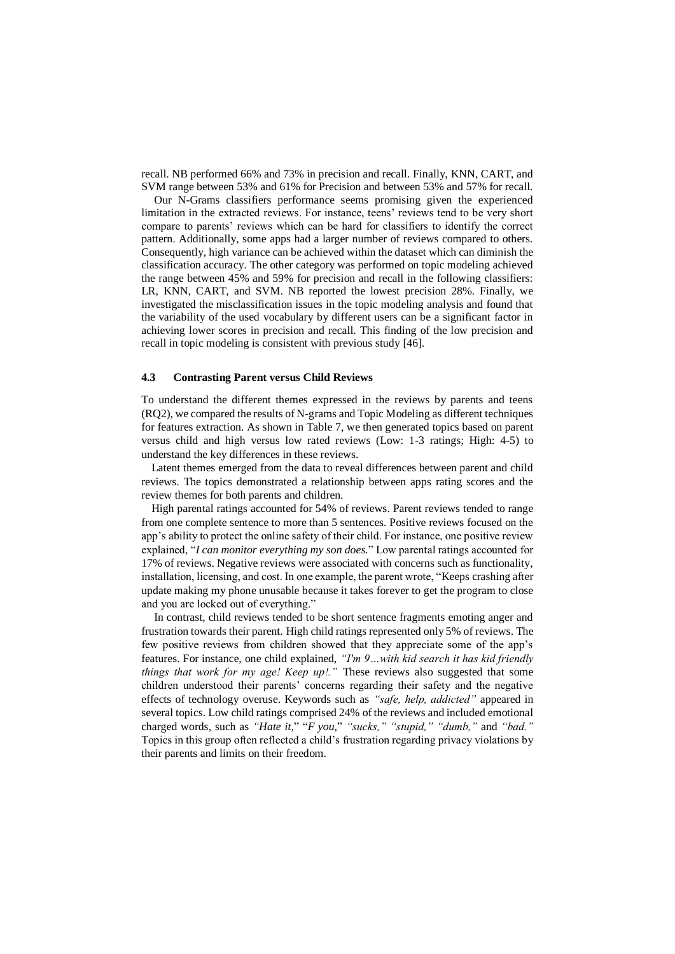recall. NB performed 66% and 73% in precision and recall. Finally, KNN, CART, and SVM range between 53% and 61% for Precision and between 53% and 57% for recall.

Our N-Grams classifiers performance seems promising given the experienced limitation in the extracted reviews. For instance, teens' reviews tend to be very short compare to parents' reviews which can be hard for classifiers to identify the correct pattern. Additionally, some apps had a larger number of reviews compared to others. Consequently, high variance can be achieved within the dataset which can diminish the classification accuracy. The other category was performed on topic modeling achieved the range between 45% and 59% for precision and recall in the following classifiers: LR, KNN, CART, and SVM. NB reported the lowest precision 28%. Finally, we investigated the misclassification issues in the topic modeling analysis and found that the variability of the used vocabulary by different users can be a significant factor in achieving lower scores in precision and recall. This finding of the low precision and recall in topic modeling is consistent with previous study [46].

#### **4.3 Contrasting Parent versus Child Reviews**

To understand the different themes expressed in the reviews by parents and teens (RQ2), we compared the results of N-grams and Topic Modeling as different techniques for features extraction. As shown in Table 7, we then generated topics based on parent versus child and high versus low rated reviews (Low: 1-3 ratings; High: 4-5) to understand the key differences in these reviews.

Latent themes emerged from the data to reveal differences between parent and child reviews. The topics demonstrated a relationship between apps rating scores and the review themes for both parents and children.

High parental ratings accounted for 54% of reviews. Parent reviews tended to range from one complete sentence to more than 5 sentences. Positive reviews focused on the app's ability to protect the online safety of their child. For instance, one positive review explained, "*I can monitor everything my son does.*" Low parental ratings accounted for 17% of reviews. Negative reviews were associated with concerns such as functionality, installation, licensing, and cost. In one example, the parent wrote, "Keeps crashing after update making my phone unusable because it takes forever to get the program to close and you are locked out of everything."

In contrast, child reviews tended to be short sentence fragments emoting anger and frustration towards their parent. High child ratings represented only 5% of reviews. The few positive reviews from children showed that they appreciate some of the app's features. For instance, one child explained, *"I'm 9…with kid search it has kid friendly things that work for my age! Keep up!."* These reviews also suggested that some children understood their parents' concerns regarding their safety and the negative effects of technology overuse. Keywords such as *"safe, help, addicted"* appeared in several topics. Low child ratings comprised 24% of the reviews and included emotional charged words, such as *"Hate it,*" "*F you,*" *"sucks," "stupid," "dumb,"* and *"bad."* Topics in this group often reflected a child's frustration regarding privacy violations by their parents and limits on their freedom.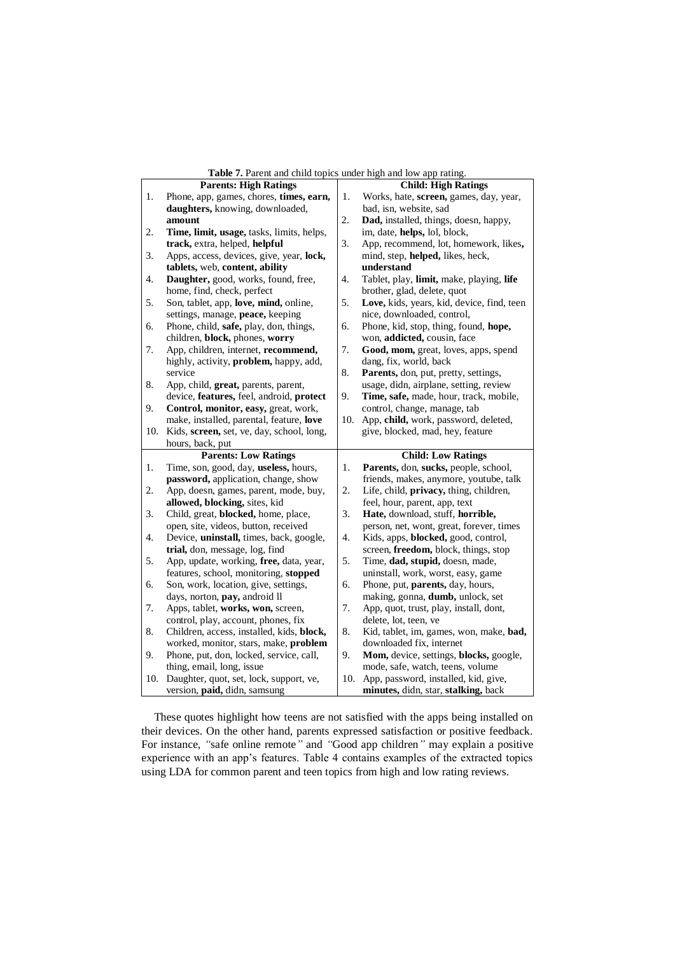|                              | Table 7. Parent and child topics under high and low app rating. |     |                                            |  |  |  |
|------------------------------|-----------------------------------------------------------------|-----|--------------------------------------------|--|--|--|
| <b>Parents: High Ratings</b> |                                                                 |     | <b>Child: High Ratings</b>                 |  |  |  |
| 1.                           | Phone, app, games, chores, times, earn,                         | 1.  | Works, hate, screen, games, day, year,     |  |  |  |
|                              | daughters, knowing, downloaded,                                 |     | bad, isn, website, sad                     |  |  |  |
|                              | amount                                                          | 2.  | Dad, installed, things, doesn, happy,      |  |  |  |
| 2.                           | Time, limit, usage, tasks, limits, helps,                       |     | im, date, helps, lol, block,               |  |  |  |
|                              | track, extra, helped, helpful                                   | 3.  | App, recommend, lot, homework, likes,      |  |  |  |
| 3.                           | Apps, access, devices, give, year, lock,                        |     | mind, step, <b>helped</b> , likes, heck,   |  |  |  |
|                              | tablets, web, content, ability                                  |     | understand                                 |  |  |  |
| 4.                           | Daughter, good, works, found, free,                             | 4.  | Tablet, play, limit, make, playing, life   |  |  |  |
|                              | home, find, check, perfect                                      |     | brother, glad, delete, quot                |  |  |  |
| 5.                           | Son, tablet, app, love, mind, online,                           | 5.  | Love, kids, years, kid, device, find, teen |  |  |  |
|                              | settings, manage, peace, keeping                                |     | nice, downloaded, control,                 |  |  |  |
| 6.                           | Phone, child, safe, play, don, things,                          | 6.  | Phone, kid, stop, thing, found, hope,      |  |  |  |
|                              | children, block, phones, worry                                  |     | won, addicted, cousin, face                |  |  |  |
| 7.                           | App, children, internet, recommend,                             | 7.  | Good, mom, great, loves, apps, spend       |  |  |  |
|                              | highly, activity, problem, happy, add,                          |     | dang, fix, world, back                     |  |  |  |
|                              | service                                                         | 8.  | Parents, don, put, pretty, settings,       |  |  |  |
| 8.                           | App, child, great, parents, parent,                             |     | usage, didn, airplane, setting, review     |  |  |  |
|                              | device, features, feel, android, protect                        | 9.  | Time, safe, made, hour, track, mobile,     |  |  |  |
| 9.                           | Control, monitor, easy, great, work,                            |     | control, change, manage, tab               |  |  |  |
|                              | make, installed, parental, feature, love                        | 10. | App, child, work, password, deleted,       |  |  |  |
| 10.                          | Kids, screen, set, ve, day, school, long,                       |     | give, blocked, mad, hey, feature           |  |  |  |
|                              | hours, back, put                                                |     |                                            |  |  |  |
|                              | <b>Parents: Low Ratings</b>                                     |     | <b>Child: Low Ratings</b>                  |  |  |  |
| 1.                           | Time, son, good, day, useless, hours,                           | 1.  | Parents, don, sucks, people, school,       |  |  |  |
|                              | password, application, change, show                             |     | friends, makes, anymore, youtube, talk     |  |  |  |
| 2.                           | App, doesn, games, parent, mode, buy,                           | 2.  | Life, child, privacy, thing, children,     |  |  |  |
|                              | allowed, blocking, sites, kid                                   |     | feel, hour, parent, app, text              |  |  |  |
| 3.                           | Child, great, blocked, home, place,                             | 3.  | Hate, download, stuff, horrible,           |  |  |  |
|                              | open, site, videos, button, received                            |     | person, net, wont, great, forever, times   |  |  |  |
| 4.                           | Device, uninstall, times, back, google,                         | 4.  | Kids, apps, blocked, good, control,        |  |  |  |
|                              | trial, don, message, log, find                                  |     | screen, freedom, block, things, stop       |  |  |  |
| 5.                           | App, update, working, free, data, year,                         | 5.  | Time, dad, stupid, doesn, made,            |  |  |  |
|                              | features, school, monitoring, stopped                           |     | uninstall, work, worst, easy, game         |  |  |  |
| 6.                           | Son, work, location, give, settings,                            | 6.  | Phone, put, parents, day, hours,           |  |  |  |
|                              | days, norton, pay, android ll                                   |     | making, gonna, dumb, unlock, set           |  |  |  |
| 7.                           | Apps, tablet, works, won, screen,                               | 7.  | App, quot, trust, play, install, dont,     |  |  |  |
|                              | control, play, account, phones, fix                             |     | delete, lot, teen, ve                      |  |  |  |
| 8.                           | Children, access, installed, kids, block,                       | 8.  | Kid, tablet, im, games, won, make, bad,    |  |  |  |
|                              | worked, monitor, stars, make, problem                           |     | downloaded fix, internet                   |  |  |  |
| 9.                           | Phone, put, don, locked, service, call,                         | 9.  | Mom, device, settings, blocks, google,     |  |  |  |
|                              | thing, email, long, issue                                       |     | mode, safe, watch, teens, volume           |  |  |  |
| 10.                          | Daughter, quot, set, lock, support, ve,                         | 10. | App, password, installed, kid, give,       |  |  |  |
|                              | version, paid, didn, samsung                                    |     | minutes, didn, star, stalking, back        |  |  |  |

These quotes highlight how teens are not satisfied with the apps being installed on their devices. On the other hand, parents expressed satisfaction or positive feedback. For instance, *"*safe online remote*"* and *"*Good app children*"* may explain a positive experience with an app's features. Table 4 contains examples of the extracted topics using LDA for common parent and teen topics from high and low rating reviews.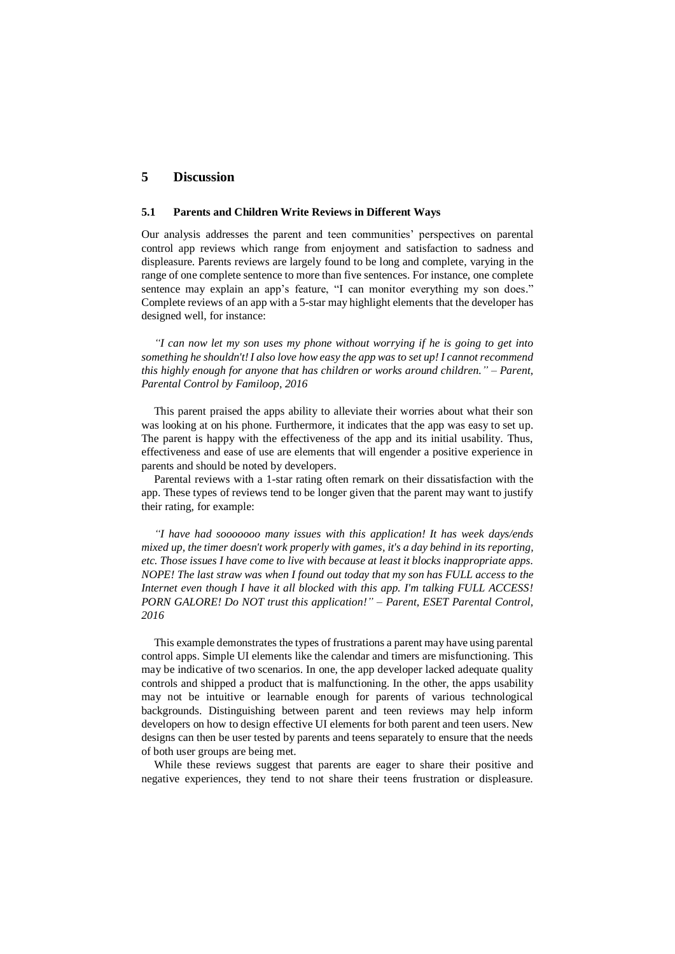# **5 Discussion**

#### **5.1 Parents and Children Write Reviews in Different Ways**

Our analysis addresses the parent and teen communities' perspectives on parental control app reviews which range from enjoyment and satisfaction to sadness and displeasure. Parents reviews are largely found to be long and complete, varying in the range of one complete sentence to more than five sentences. For instance, one complete sentence may explain an app's feature, "I can monitor everything my son does." Complete reviews of an app with a 5-star may highlight elements that the developer has designed well, for instance:

*"I can now let my son uses my phone without worrying if he is going to get into something he shouldn't! I also love how easy the app was to set up! I cannot recommend this highly enough for anyone that has children or works around children." – Parent, Parental Control by Familoop, 2016*

This parent praised the apps ability to alleviate their worries about what their son was looking at on his phone. Furthermore, it indicates that the app was easy to set up. The parent is happy with the effectiveness of the app and its initial usability. Thus, effectiveness and ease of use are elements that will engender a positive experience in parents and should be noted by developers.

Parental reviews with a 1-star rating often remark on their dissatisfaction with the app. These types of reviews tend to be longer given that the parent may want to justify their rating, for example:

*"I have had sooooooo many issues with this application! It has week days/ends mixed up, the timer doesn't work properly with games, it's a day behind in its reporting, etc. Those issues I have come to live with because at least it blocks inappropriate apps. NOPE! The last straw was when I found out today that my son has FULL access to the Internet even though I have it all blocked with this app. I'm talking FULL ACCESS! PORN GALORE! Do NOT trust this application!" – Parent, ESET Parental Control, 2016*

This example demonstrates the types of frustrations a parent may have using parental control apps. Simple UI elements like the calendar and timers are misfunctioning. This may be indicative of two scenarios. In one, the app developer lacked adequate quality controls and shipped a product that is malfunctioning. In the other, the apps usability may not be intuitive or learnable enough for parents of various technological backgrounds. Distinguishing between parent and teen reviews may help inform developers on how to design effective UI elements for both parent and teen users. New designs can then be user tested by parents and teens separately to ensure that the needs of both user groups are being met.

While these reviews suggest that parents are eager to share their positive and negative experiences, they tend to not share their teens frustration or displeasure.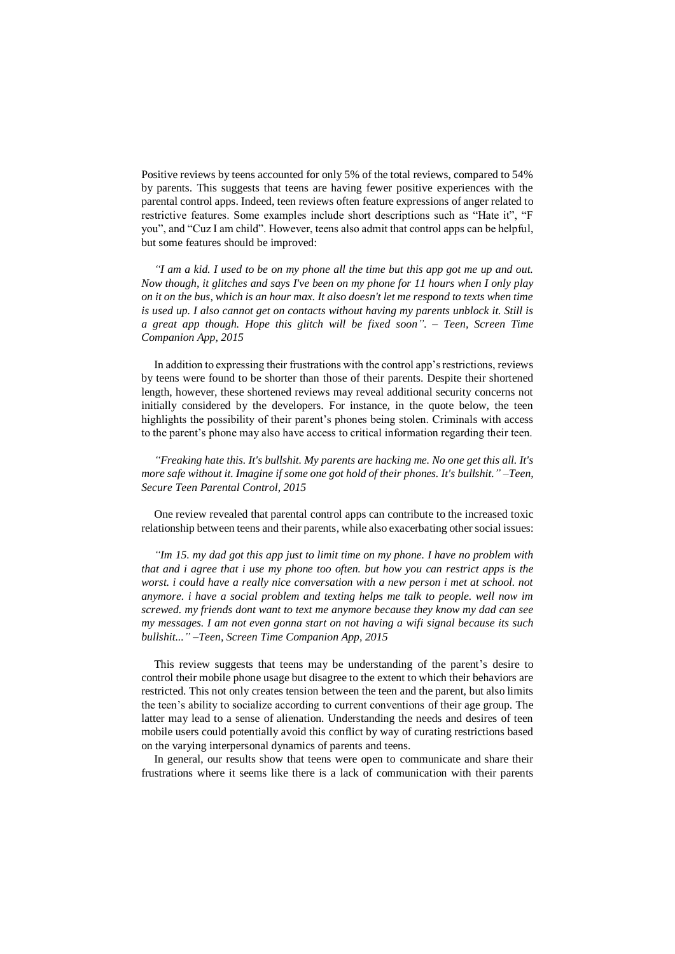Positive reviews by teens accounted for only 5% of the total reviews, compared to 54% by parents. This suggests that teens are having fewer positive experiences with the parental control apps. Indeed, teen reviews often feature expressions of anger related to restrictive features. Some examples include short descriptions such as "Hate it", "F you", and "Cuz I am child". However, teens also admit that control apps can be helpful, but some features should be improved:

*"I am a kid. I used to be on my phone all the time but this app got me up and out. Now though, it glitches and says I've been on my phone for 11 hours when I only play on it on the bus, which is an hour max. It also doesn't let me respond to texts when time is used up. I also cannot get on contacts without having my parents unblock it. Still is a great app though. Hope this glitch will be fixed soon". – Teen, Screen Time Companion App, 2015*

In addition to expressing their frustrations with the control app's restrictions, reviews by teens were found to be shorter than those of their parents. Despite their shortened length, however, these shortened reviews may reveal additional security concerns not initially considered by the developers. For instance, in the quote below, the teen highlights the possibility of their parent's phones being stolen. Criminals with access to the parent's phone may also have access to critical information regarding their teen.

*"Freaking hate this. It's bullshit. My parents are hacking me. No one get this all. It's more safe without it. Imagine if some one got hold of their phones. It's bullshit." –Teen, Secure Teen Parental Control, 2015*

One review revealed that parental control apps can contribute to the increased toxic relationship between teens and their parents, while also exacerbating other social issues:

*"Im 15. my dad got this app just to limit time on my phone. I have no problem with that and i agree that i use my phone too often. but how you can restrict apps is the worst. i could have a really nice conversation with a new person i met at school. not anymore. i have a social problem and texting helps me talk to people. well now im screwed. my friends dont want to text me anymore because they know my dad can see my messages. I am not even gonna start on not having a wifi signal because its such bullshit..." –Teen, Screen Time Companion App, 2015*

This review suggests that teens may be understanding of the parent's desire to control their mobile phone usage but disagree to the extent to which their behaviors are restricted. This not only creates tension between the teen and the parent, but also limits the teen's ability to socialize according to current conventions of their age group. The latter may lead to a sense of alienation. Understanding the needs and desires of teen mobile users could potentially avoid this conflict by way of curating restrictions based on the varying interpersonal dynamics of parents and teens.

In general, our results show that teens were open to communicate and share their frustrations where it seems like there is a lack of communication with their parents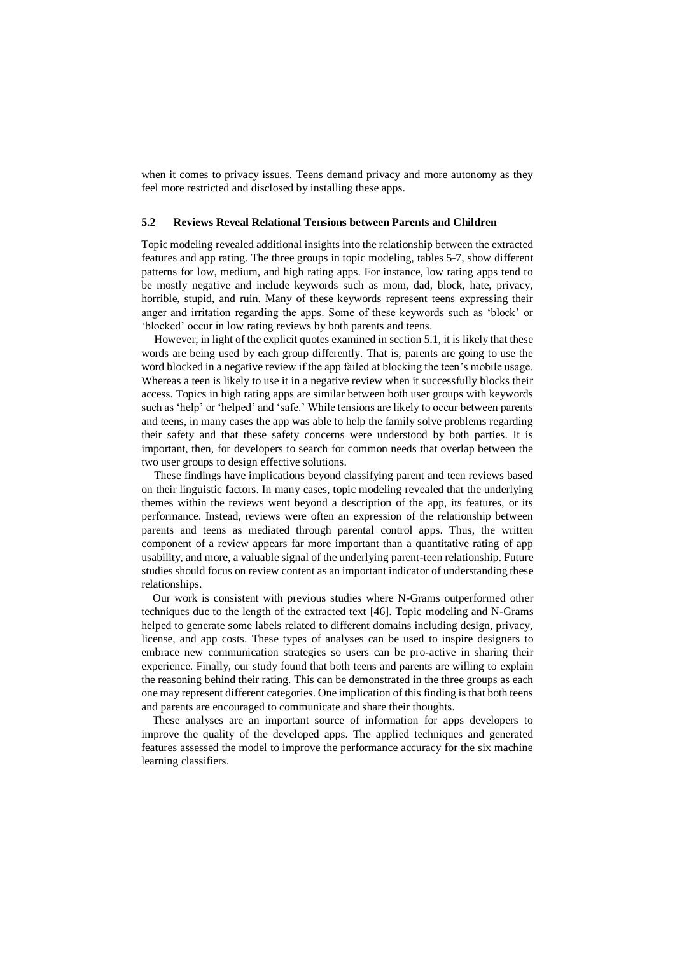when it comes to privacy issues. Teens demand privacy and more autonomy as they feel more restricted and disclosed by installing these apps.

#### **5.2 Reviews Reveal Relational Tensions between Parents and Children**

Topic modeling revealed additional insights into the relationship between the extracted features and app rating. The three groups in topic modeling, tables 5-7, show different patterns for low, medium, and high rating apps. For instance, low rating apps tend to be mostly negative and include keywords such as mom, dad, block, hate, privacy, horrible, stupid, and ruin. Many of these keywords represent teens expressing their anger and irritation regarding the apps. Some of these keywords such as 'block' or 'blocked' occur in low rating reviews by both parents and teens.

However, in light of the explicit quotes examined in section 5.1, it is likely that these words are being used by each group differently. That is, parents are going to use the word blocked in a negative review if the app failed at blocking the teen's mobile usage. Whereas a teen is likely to use it in a negative review when it successfully blocks their access. Topics in high rating apps are similar between both user groups with keywords such as 'help' or 'helped' and 'safe.' While tensions are likely to occur between parents and teens, in many cases the app was able to help the family solve problems regarding their safety and that these safety concerns were understood by both parties. It is important, then, for developers to search for common needs that overlap between the two user groups to design effective solutions.

These findings have implications beyond classifying parent and teen reviews based on their linguistic factors. In many cases, topic modeling revealed that the underlying themes within the reviews went beyond a description of the app, its features, or its performance. Instead, reviews were often an expression of the relationship between parents and teens as mediated through parental control apps. Thus, the written component of a review appears far more important than a quantitative rating of app usability, and more, a valuable signal of the underlying parent-teen relationship. Future studies should focus on review content as an important indicator of understanding these relationships.

Our work is consistent with previous studies where N-Grams outperformed other techniques due to the length of the extracted text [46]. Topic modeling and N-Grams helped to generate some labels related to different domains including design, privacy, license, and app costs. These types of analyses can be used to inspire designers to embrace new communication strategies so users can be pro-active in sharing their experience. Finally, our study found that both teens and parents are willing to explain the reasoning behind their rating. This can be demonstrated in the three groups as each one may represent different categories. One implication of this finding is that both teens and parents are encouraged to communicate and share their thoughts.

These analyses are an important source of information for apps developers to improve the quality of the developed apps. The applied techniques and generated features assessed the model to improve the performance accuracy for the six machine learning classifiers.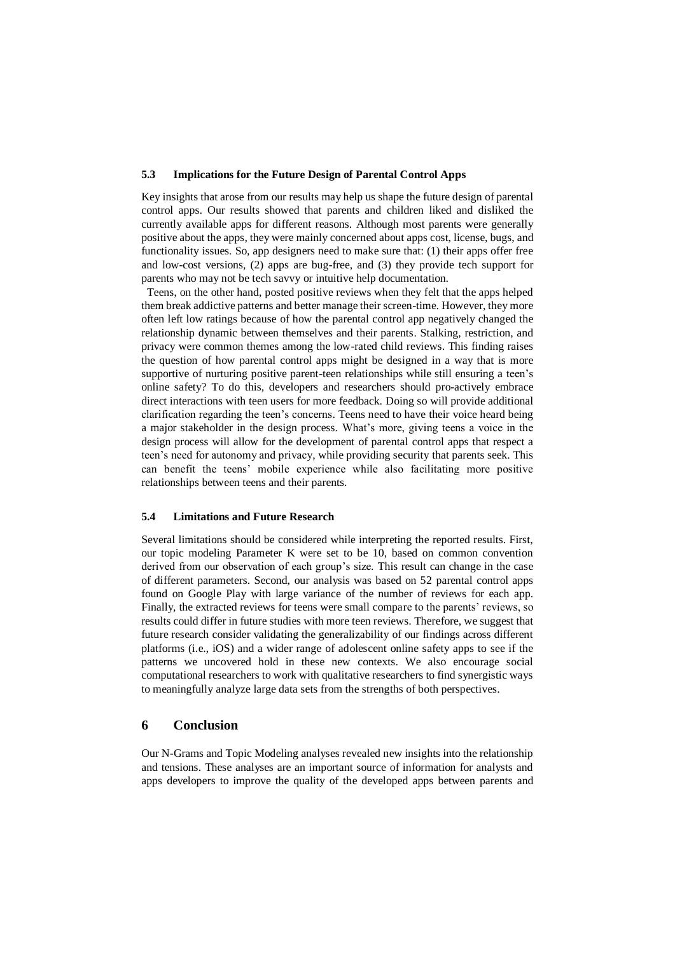#### **5.3 Implications for the Future Design of Parental Control Apps**

Key insights that arose from our results may help us shape the future design of parental control apps. Our results showed that parents and children liked and disliked the currently available apps for different reasons. Although most parents were generally positive about the apps, they were mainly concerned about apps cost, license, bugs, and functionality issues. So, app designers need to make sure that: (1) their apps offer free and low-cost versions, (2) apps are bug-free, and (3) they provide tech support for parents who may not be tech savvy or intuitive help documentation.

 Teens, on the other hand, posted positive reviews when they felt that the apps helped them break addictive patterns and better manage their screen-time. However, they more often left low ratings because of how the parental control app negatively changed the relationship dynamic between themselves and their parents. Stalking, restriction, and privacy were common themes among the low-rated child reviews. This finding raises the question of how parental control apps might be designed in a way that is more supportive of nurturing positive parent-teen relationships while still ensuring a teen's online safety? To do this, developers and researchers should pro-actively embrace direct interactions with teen users for more feedback. Doing so will provide additional clarification regarding the teen's concerns. Teens need to have their voice heard being a major stakeholder in the design process. What's more, giving teens a voice in the design process will allow for the development of parental control apps that respect a teen's need for autonomy and privacy, while providing security that parents seek. This can benefit the teens' mobile experience while also facilitating more positive relationships between teens and their parents.

#### **5.4 Limitations and Future Research**

Several limitations should be considered while interpreting the reported results. First, our topic modeling Parameter K were set to be 10, based on common convention derived from our observation of each group's size. This result can change in the case of different parameters. Second, our analysis was based on 52 parental control apps found on Google Play with large variance of the number of reviews for each app. Finally, the extracted reviews for teens were small compare to the parents' reviews, so results could differ in future studies with more teen reviews. Therefore, we suggest that future research consider validating the generalizability of our findings across different platforms (i.e., iOS) and a wider range of adolescent online safety apps to see if the patterns we uncovered hold in these new contexts. We also encourage social computational researchers to work with qualitative researchers to find synergistic ways to meaningfully analyze large data sets from the strengths of both perspectives.

# **6 Conclusion**

Our N-Grams and Topic Modeling analyses revealed new insights into the relationship and tensions. These analyses are an important source of information for analysts and apps developers to improve the quality of the developed apps between parents and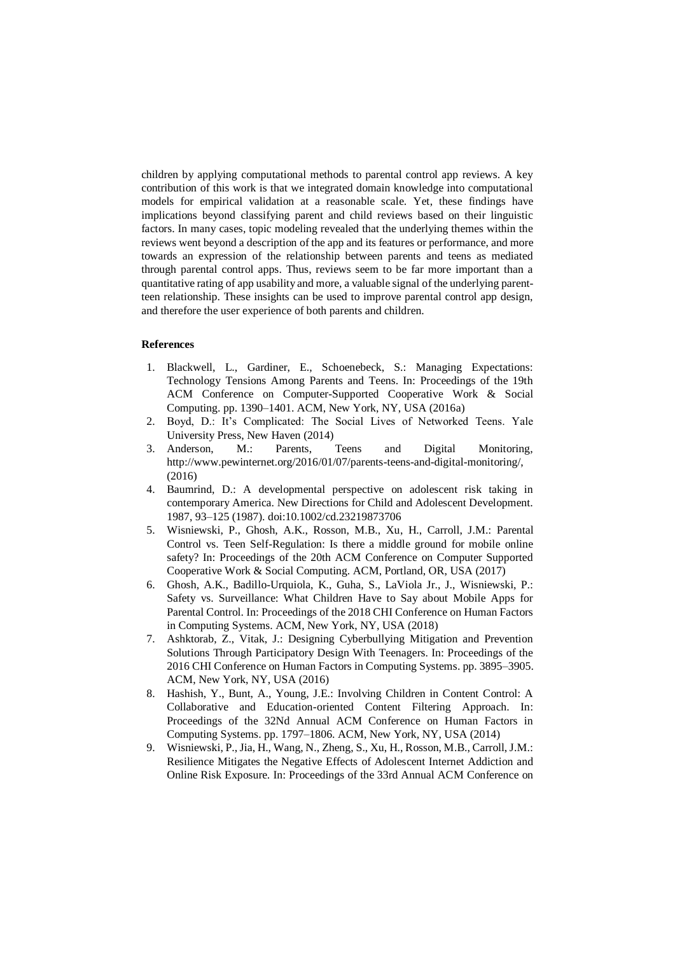children by applying computational methods to parental control app reviews. A key contribution of this work is that we integrated domain knowledge into computational models for empirical validation at a reasonable scale. Yet, these findings have implications beyond classifying parent and child reviews based on their linguistic factors. In many cases, topic modeling revealed that the underlying themes within the reviews went beyond a description of the app and its features or performance, and more towards an expression of the relationship between parents and teens as mediated through parental control apps. Thus, reviews seem to be far more important than a quantitative rating of app usability and more, a valuable signal of the underlying parentteen relationship. These insights can be used to improve parental control app design, and therefore the user experience of both parents and children.

## **References**

- 1. Blackwell, L., Gardiner, E., Schoenebeck, S.: Managing Expectations: Technology Tensions Among Parents and Teens. In: Proceedings of the 19th ACM Conference on Computer-Supported Cooperative Work & Social Computing. pp. 1390–1401. ACM, New York, NY, USA (2016a)
- 2. Boyd, D.: It's Complicated: The Social Lives of Networked Teens. Yale University Press, New Haven (2014)
- 3. Anderson, M.: Parents, Teens and Digital Monitoring, http://www.pewinternet.org/2016/01/07/parents-teens-and-digital-monitoring/, (2016)
- 4. Baumrind, D.: A developmental perspective on adolescent risk taking in contemporary America. New Directions for Child and Adolescent Development. 1987, 93–125 (1987). doi:10.1002/cd.23219873706
- 5. Wisniewski, P., Ghosh, A.K., Rosson, M.B., Xu, H., Carroll, J.M.: Parental Control vs. Teen Self-Regulation: Is there a middle ground for mobile online safety? In: Proceedings of the 20th ACM Conference on Computer Supported Cooperative Work & Social Computing. ACM, Portland, OR, USA (2017)
- 6. Ghosh, A.K., Badillo-Urquiola, K., Guha, S., LaViola Jr., J., Wisniewski, P.: Safety vs. Surveillance: What Children Have to Say about Mobile Apps for Parental Control. In: Proceedings of the 2018 CHI Conference on Human Factors in Computing Systems. ACM, New York, NY, USA (2018)
- 7. Ashktorab, Z., Vitak, J.: Designing Cyberbullying Mitigation and Prevention Solutions Through Participatory Design With Teenagers. In: Proceedings of the 2016 CHI Conference on Human Factors in Computing Systems. pp. 3895–3905. ACM, New York, NY, USA (2016)
- 8. Hashish, Y., Bunt, A., Young, J.E.: Involving Children in Content Control: A Collaborative and Education-oriented Content Filtering Approach. In: Proceedings of the 32Nd Annual ACM Conference on Human Factors in Computing Systems. pp. 1797–1806. ACM, New York, NY, USA (2014)
- 9. Wisniewski, P., Jia, H., Wang, N., Zheng, S., Xu, H., Rosson, M.B., Carroll, J.M.: Resilience Mitigates the Negative Effects of Adolescent Internet Addiction and Online Risk Exposure. In: Proceedings of the 33rd Annual ACM Conference on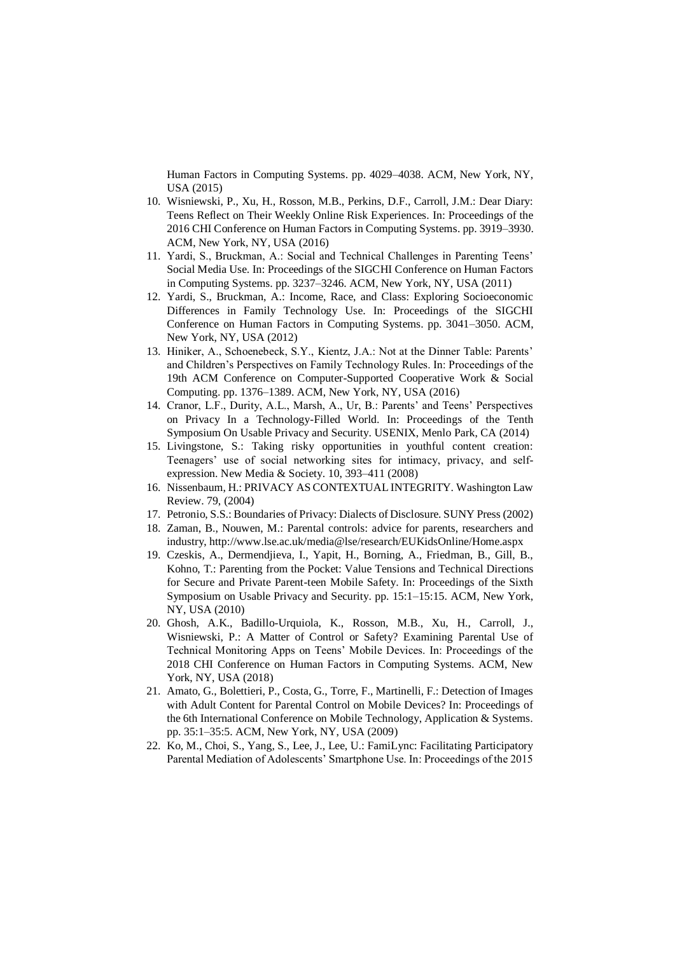Human Factors in Computing Systems. pp. 4029–4038. ACM, New York, NY, USA (2015)

- 10. Wisniewski, P., Xu, H., Rosson, M.B., Perkins, D.F., Carroll, J.M.: Dear Diary: Teens Reflect on Their Weekly Online Risk Experiences. In: Proceedings of the 2016 CHI Conference on Human Factors in Computing Systems. pp. 3919–3930. ACM, New York, NY, USA (2016)
- 11. Yardi, S., Bruckman, A.: Social and Technical Challenges in Parenting Teens' Social Media Use. In: Proceedings of the SIGCHI Conference on Human Factors in Computing Systems. pp. 3237–3246. ACM, New York, NY, USA (2011)
- 12. Yardi, S., Bruckman, A.: Income, Race, and Class: Exploring Socioeconomic Differences in Family Technology Use. In: Proceedings of the SIGCHI Conference on Human Factors in Computing Systems. pp. 3041–3050. ACM, New York, NY, USA (2012)
- 13. Hiniker, A., Schoenebeck, S.Y., Kientz, J.A.: Not at the Dinner Table: Parents' and Children's Perspectives on Family Technology Rules. In: Proceedings of the 19th ACM Conference on Computer-Supported Cooperative Work & Social Computing. pp. 1376–1389. ACM, New York, NY, USA (2016)
- 14. Cranor, L.F., Durity, A.L., Marsh, A., Ur, B.: Parents' and Teens' Perspectives on Privacy In a Technology-Filled World. In: Proceedings of the Tenth Symposium On Usable Privacy and Security. USENIX, Menlo Park, CA (2014)
- 15. Livingstone, S.: Taking risky opportunities in youthful content creation: Teenagers' use of social networking sites for intimacy, privacy, and selfexpression. New Media & Society. 10, 393–411 (2008)
- 16. Nissenbaum, H.: PRIVACY AS CONTEXTUAL INTEGRITY. Washington Law Review. 79, (2004)
- 17. Petronio, S.S.: Boundaries of Privacy: Dialects of Disclosure. SUNY Press (2002)
- 18. Zaman, B., Nouwen, M.: Parental controls: advice for parents, researchers and industry, http://www.lse.ac.uk/media@lse/research/EUKidsOnline/Home.aspx
- 19. Czeskis, A., Dermendjieva, I., Yapit, H., Borning, A., Friedman, B., Gill, B., Kohno, T.: Parenting from the Pocket: Value Tensions and Technical Directions for Secure and Private Parent-teen Mobile Safety. In: Proceedings of the Sixth Symposium on Usable Privacy and Security. pp. 15:1–15:15. ACM, New York, NY, USA (2010)
- 20. Ghosh, A.K., Badillo-Urquiola, K., Rosson, M.B., Xu, H., Carroll, J., Wisniewski, P.: A Matter of Control or Safety? Examining Parental Use of Technical Monitoring Apps on Teens' Mobile Devices. In: Proceedings of the 2018 CHI Conference on Human Factors in Computing Systems. ACM, New York, NY, USA (2018)
- 21. Amato, G., Bolettieri, P., Costa, G., Torre, F., Martinelli, F.: Detection of Images with Adult Content for Parental Control on Mobile Devices? In: Proceedings of the 6th International Conference on Mobile Technology, Application & Systems. pp. 35:1–35:5. ACM, New York, NY, USA (2009)
- 22. Ko, M., Choi, S., Yang, S., Lee, J., Lee, U.: FamiLync: Facilitating Participatory Parental Mediation of Adolescents' Smartphone Use. In: Proceedings of the 2015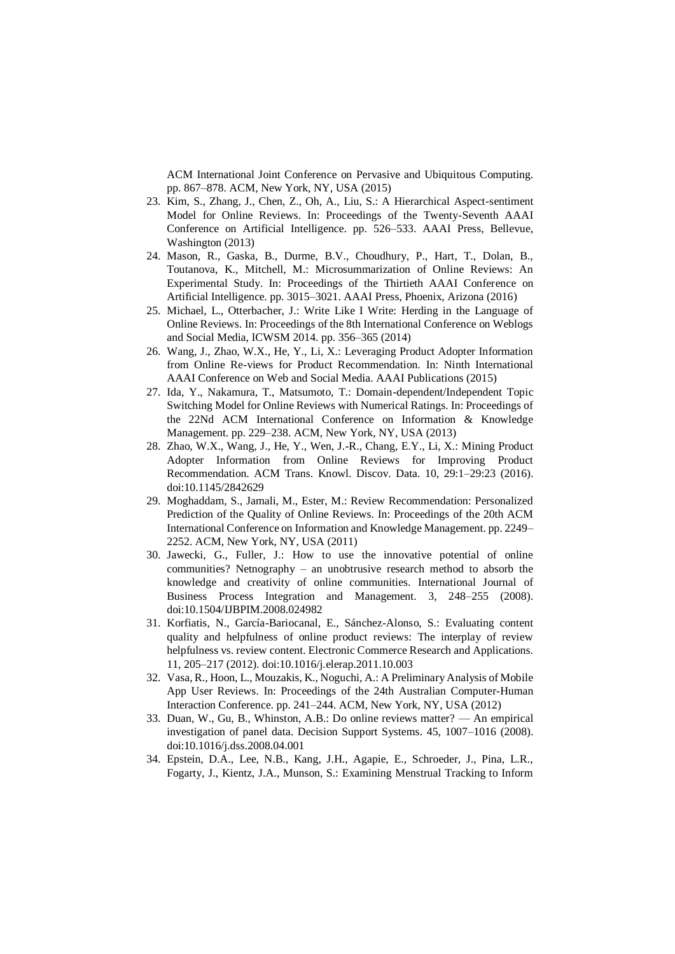ACM International Joint Conference on Pervasive and Ubiquitous Computing. pp. 867–878. ACM, New York, NY, USA (2015)

- 23. Kim, S., Zhang, J., Chen, Z., Oh, A., Liu, S.: A Hierarchical Aspect-sentiment Model for Online Reviews. In: Proceedings of the Twenty-Seventh AAAI Conference on Artificial Intelligence. pp. 526–533. AAAI Press, Bellevue, Washington (2013)
- 24. Mason, R., Gaska, B., Durme, B.V., Choudhury, P., Hart, T., Dolan, B., Toutanova, K., Mitchell, M.: Microsummarization of Online Reviews: An Experimental Study. In: Proceedings of the Thirtieth AAAI Conference on Artificial Intelligence. pp. 3015–3021. AAAI Press, Phoenix, Arizona (2016)
- 25. Michael, L., Otterbacher, J.: Write Like I Write: Herding in the Language of Online Reviews. In: Proceedings of the 8th International Conference on Weblogs and Social Media, ICWSM 2014. pp. 356–365 (2014)
- 26. Wang, J., Zhao, W.X., He, Y., Li, X.: Leveraging Product Adopter Information from Online Re-views for Product Recommendation. In: Ninth International AAAI Conference on Web and Social Media. AAAI Publications (2015)
- 27. Ida, Y., Nakamura, T., Matsumoto, T.: Domain-dependent/Independent Topic Switching Model for Online Reviews with Numerical Ratings. In: Proceedings of the 22Nd ACM International Conference on Information & Knowledge Management. pp. 229–238. ACM, New York, NY, USA (2013)
- 28. Zhao, W.X., Wang, J., He, Y., Wen, J.-R., Chang, E.Y., Li, X.: Mining Product Adopter Information from Online Reviews for Improving Product Recommendation. ACM Trans. Knowl. Discov. Data. 10, 29:1–29:23 (2016). doi:10.1145/2842629
- 29. Moghaddam, S., Jamali, M., Ester, M.: Review Recommendation: Personalized Prediction of the Quality of Online Reviews. In: Proceedings of the 20th ACM International Conference on Information and Knowledge Management. pp. 2249– 2252. ACM, New York, NY, USA (2011)
- 30. Jawecki, G., Fuller, J.: How to use the innovative potential of online communities? Netnography – an unobtrusive research method to absorb the knowledge and creativity of online communities. International Journal of Business Process Integration and Management. 3, 248–255 (2008). doi:10.1504/IJBPIM.2008.024982
- 31. Korfiatis, N., García-Bariocanal, E., Sánchez-Alonso, S.: Evaluating content quality and helpfulness of online product reviews: The interplay of review helpfulness vs. review content. Electronic Commerce Research and Applications. 11, 205–217 (2012). doi:10.1016/j.elerap.2011.10.003
- 32. Vasa, R., Hoon, L., Mouzakis, K., Noguchi, A.: A Preliminary Analysis of Mobile App User Reviews. In: Proceedings of the 24th Australian Computer-Human Interaction Conference. pp. 241–244. ACM, New York, NY, USA (2012)
- 33. Duan, W., Gu, B., Whinston, A.B.: Do online reviews matter? An empirical investigation of panel data. Decision Support Systems. 45, 1007–1016 (2008). doi:10.1016/j.dss.2008.04.001
- 34. Epstein, D.A., Lee, N.B., Kang, J.H., Agapie, E., Schroeder, J., Pina, L.R., Fogarty, J., Kientz, J.A., Munson, S.: Examining Menstrual Tracking to Inform